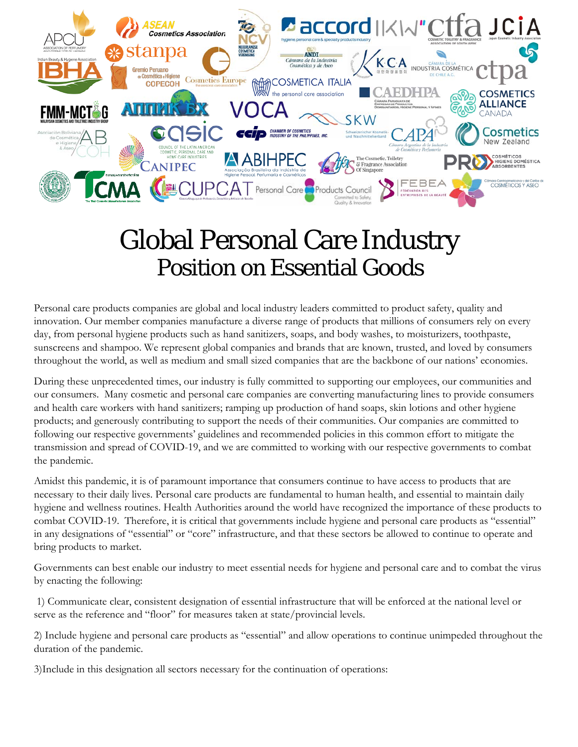

## Global Personal Care Industry Position on Essential Goods

Personal care products companies are global and local industry leaders committed to product safety, quality and innovation. Our member companies manufacture a diverse range of products that millions of consumers rely on every day, from personal hygiene products such as hand sanitizers, soaps, and body washes, to moisturizers, toothpaste, sunscreens and shampoo. We represent global companies and brands that are known, trusted, and loved by consumers throughout the world, as well as medium and small sized companies that are the backbone of our nations' economies.

During these unprecedented times, our industry is fully committed to supporting our employees, our communities and our consumers. Many cosmetic and personal care companies are converting manufacturing lines to provide consumers and health care workers with hand sanitizers; ramping up production of hand soaps, skin lotions and other hygiene products; and generously contributing to support the needs of their communities. Our companies are committed to following our respective governments' guidelines and recommended policies in this common effort to mitigate the transmission and spread of COVID-19, and we are committed to working with our respective governments to combat the pandemic.

Amidst this pandemic, it is of paramount importance that consumers continue to have access to products that are necessary to their daily lives. Personal care products are fundamental to human health, and essential to maintain daily hygiene and wellness routines. Health Authorities around the world have recognized the importance of these products to combat COVID-19. Therefore, it is critical that governments include hygiene and personal care products as "essential" in any designations of "essential" or "core" infrastructure, and that these sectors be allowed to continue to operate and bring products to market.

Governments can best enable our industry to meet essential needs for hygiene and personal care and to combat the virus by enacting the following:

1) Communicate clear, consistent designation of essential infrastructure that will be enforced at the national level or serve as the reference and "floor" for measures taken at state/provincial levels.

2) Include hygiene and personal care products as "essential" and allow operations to continue unimpeded throughout the duration of the pandemic.

3)Include in this designation all sectors necessary for the continuation of operations: